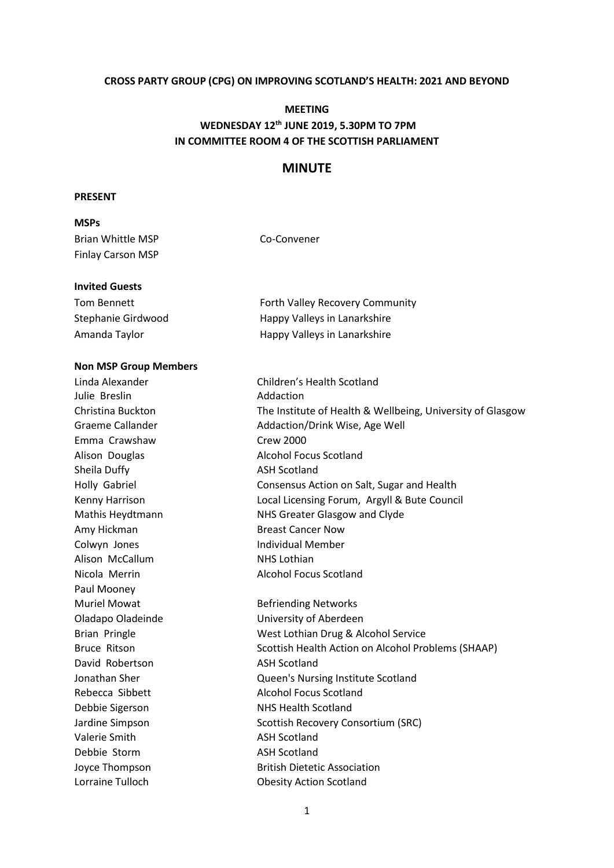#### **CROSS PARTY GROUP (CPG) ON IMPROVING SCOTLAND'S HEALTH: 2021 AND BEYOND**

# **MEETING WEDNESDAY 12th JUNE 2019, 5.30PM TO 7PM IN COMMITTEE ROOM 4 OF THE SCOTTISH PARLIAMENT**

# **MINUTE**

#### **PRESENT**

### **MSPs**

| Brian Whittle MSP | Co-Convener |
|-------------------|-------------|
| Finlay Carson MSP |             |

#### **Invited Guests**

| Tom Bennett        | <b>Forth Valley Recovery Community</b> |
|--------------------|----------------------------------------|
| Stephanie Girdwood | Happy Valleys in Lanarkshire           |
| Amanda Taylor      | Happy Valleys in Lanarkshire           |

### **Non MSP Group Members**

Linda Alexander Children's Health Scotland Julie Breslin **Addaction** Emma Crawshaw Crew 2000 Alison Douglas **Alcohol Focus Scotland** Sheila Duffy **ASH Scotland** Amy Hickman Breast Cancer Now Colwyn Jones **Individual Member** Alison McCallum NHS Lothian Nicola Merrin Alcohol Focus Scotland Paul Mooney Muriel Mowat **Befriending Networks** David Robertson ASH Scotland Debbie Sigerson NHS Health Scotland Valerie Smith ASH Scotland Debbie Storm ASH Scotland Lorraine Tulloch **Obesity Action Scotland** 

Christina Buckton The Institute of Health & Wellbeing, University of Glasgow Graeme Callander **Addaction/Drink Wise, Age Well** Holly Gabriel Consensus Action on Salt, Sugar and Health Kenny Harrison Local Licensing Forum, Argyll & Bute Council Mathis Heydtmann NHS Greater Glasgow and Clyde Oladapo Oladeinde University of Aberdeen Brian Pringle [West Lothian Drug & Alcohol Service](file://///ASHEDISRV01/ASH%20Scotland/Policy%20&%20Information/Political%20Work/CPG%20Improving%20Scotland) Bruce Ritson Scottish Health Action on Alcohol Problems (SHAAP) Jonathan Sher Queen's Nursing Institute Scotland Rebecca Sibbett Alcohol Focus Scotland Jardine Simpson Scottish Recovery Consortium (SRC) Joyce Thompson British Dietetic Association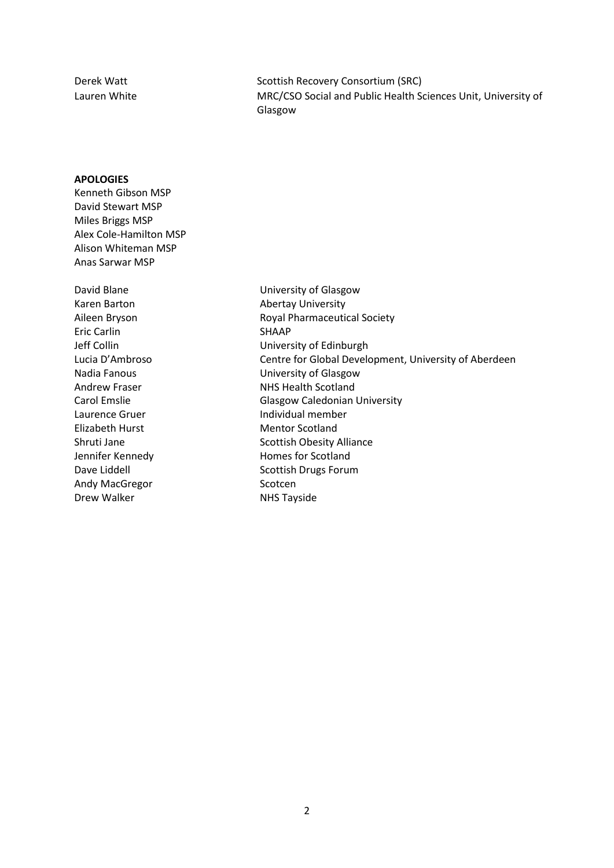Derek Watt **Scottish Recovery Consortium (SRC)** Lauren White MRC/CSO Social and Public Health Sciences Unit, University of Glasgow

# **APOLOGIES**

Kenneth Gibson MSP David Stewart MSP Miles Briggs MSP Alex Cole-Hamilton MSP Alison Whiteman MSP Anas Sarwar MSP

Eric Carlin SHAAP Elizabeth Hurst Mentor Scotland Andy MacGregor Scotcen Drew Walker NHS Tayside

David Blane **David Blane** University of Glasgow Karen Barton **Abertay University** Aileen Bryson **Royal Pharmaceutical Society** Jeff Collin University of Edinburgh Lucia D'Ambroso Centre for Global Development, University of Aberdeen Nadia Fanous University of Glasgow Andrew Fraser NHS Health Scotland<br>Carol Emslie NHS Glasgow Caledonian Glasgow Caledonian University Laurence Gruer **Individual member** Shruti Jane Scottish Obesity Alliance Jennifer Kennedy **Homes** for Scotland Dave Liddell **Scottish Drugs Forum**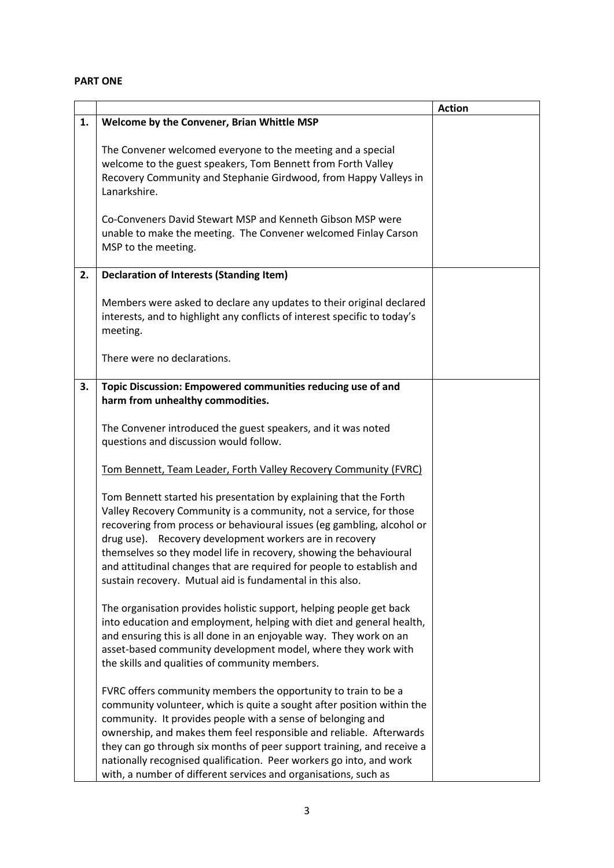## **PART ONE**

|    |                                                                                                                                                                                                                                                                                                                                                                                                                                                                                                    | <b>Action</b> |
|----|----------------------------------------------------------------------------------------------------------------------------------------------------------------------------------------------------------------------------------------------------------------------------------------------------------------------------------------------------------------------------------------------------------------------------------------------------------------------------------------------------|---------------|
| 1. | Welcome by the Convener, Brian Whittle MSP                                                                                                                                                                                                                                                                                                                                                                                                                                                         |               |
|    | The Convener welcomed everyone to the meeting and a special<br>welcome to the guest speakers, Tom Bennett from Forth Valley<br>Recovery Community and Stephanie Girdwood, from Happy Valleys in<br>Lanarkshire.<br>Co-Conveners David Stewart MSP and Kenneth Gibson MSP were                                                                                                                                                                                                                      |               |
|    | unable to make the meeting. The Convener welcomed Finlay Carson<br>MSP to the meeting.                                                                                                                                                                                                                                                                                                                                                                                                             |               |
| 2. | <b>Declaration of Interests (Standing Item)</b>                                                                                                                                                                                                                                                                                                                                                                                                                                                    |               |
|    | Members were asked to declare any updates to their original declared<br>interests, and to highlight any conflicts of interest specific to today's<br>meeting.                                                                                                                                                                                                                                                                                                                                      |               |
|    | There were no declarations.                                                                                                                                                                                                                                                                                                                                                                                                                                                                        |               |
| 3. | Topic Discussion: Empowered communities reducing use of and<br>harm from unhealthy commodities.                                                                                                                                                                                                                                                                                                                                                                                                    |               |
|    | The Convener introduced the guest speakers, and it was noted<br>questions and discussion would follow.                                                                                                                                                                                                                                                                                                                                                                                             |               |
|    | Tom Bennett, Team Leader, Forth Valley Recovery Community (FVRC)                                                                                                                                                                                                                                                                                                                                                                                                                                   |               |
|    | Tom Bennett started his presentation by explaining that the Forth<br>Valley Recovery Community is a community, not a service, for those<br>recovering from process or behavioural issues (eg gambling, alcohol or<br>drug use). Recovery development workers are in recovery<br>themselves so they model life in recovery, showing the behavioural<br>and attitudinal changes that are required for people to establish and<br>sustain recovery. Mutual aid is fundamental in this also.           |               |
|    | The organisation provides holistic support, helping people get back<br>into education and employment, helping with diet and general health,<br>and ensuring this is all done in an enjoyable way. They work on an<br>asset-based community development model, where they work with<br>the skills and qualities of community members.                                                                                                                                                               |               |
|    | FVRC offers community members the opportunity to train to be a<br>community volunteer, which is quite a sought after position within the<br>community. It provides people with a sense of belonging and<br>ownership, and makes them feel responsible and reliable. Afterwards<br>they can go through six months of peer support training, and receive a<br>nationally recognised qualification. Peer workers go into, and work<br>with, a number of different services and organisations, such as |               |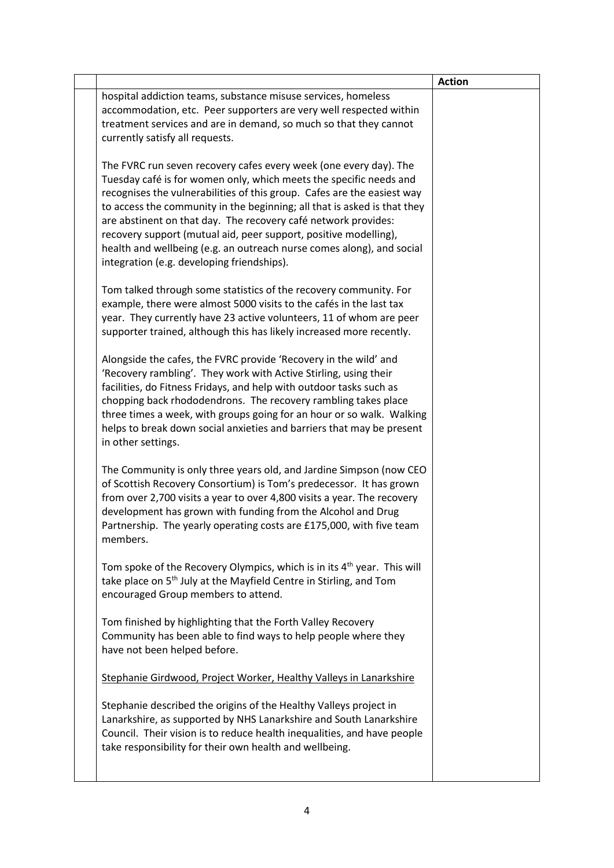|                                                                                                                                                                                                                                                                                                                                                                                                                                                                                                                                                             | <b>Action</b> |
|-------------------------------------------------------------------------------------------------------------------------------------------------------------------------------------------------------------------------------------------------------------------------------------------------------------------------------------------------------------------------------------------------------------------------------------------------------------------------------------------------------------------------------------------------------------|---------------|
| hospital addiction teams, substance misuse services, homeless<br>accommodation, etc. Peer supporters are very well respected within<br>treatment services and are in demand, so much so that they cannot<br>currently satisfy all requests.                                                                                                                                                                                                                                                                                                                 |               |
| The FVRC run seven recovery cafes every week (one every day). The<br>Tuesday café is for women only, which meets the specific needs and<br>recognises the vulnerabilities of this group. Cafes are the easiest way<br>to access the community in the beginning; all that is asked is that they<br>are abstinent on that day. The recovery café network provides:<br>recovery support (mutual aid, peer support, positive modelling),<br>health and wellbeing (e.g. an outreach nurse comes along), and social<br>integration (e.g. developing friendships). |               |
| Tom talked through some statistics of the recovery community. For<br>example, there were almost 5000 visits to the cafés in the last tax<br>year. They currently have 23 active volunteers, 11 of whom are peer<br>supporter trained, although this has likely increased more recently.                                                                                                                                                                                                                                                                     |               |
| Alongside the cafes, the FVRC provide 'Recovery in the wild' and<br>'Recovery rambling'. They work with Active Stirling, using their<br>facilities, do Fitness Fridays, and help with outdoor tasks such as<br>chopping back rhododendrons. The recovery rambling takes place<br>three times a week, with groups going for an hour or so walk. Walking<br>helps to break down social anxieties and barriers that may be present<br>in other settings.                                                                                                       |               |
| The Community is only three years old, and Jardine Simpson (now CEO<br>of Scottish Recovery Consortium) is Tom's predecessor. It has grown<br>from over 2,700 visits a year to over 4,800 visits a year. The recovery<br>development has grown with funding from the Alcohol and Drug<br>Partnership. The yearly operating costs are £175,000, with five team<br>members.                                                                                                                                                                                   |               |
| Tom spoke of the Recovery Olympics, which is in its 4 <sup>th</sup> year. This will<br>take place on 5 <sup>th</sup> July at the Mayfield Centre in Stirling, and Tom<br>encouraged Group members to attend.                                                                                                                                                                                                                                                                                                                                                |               |
| Tom finished by highlighting that the Forth Valley Recovery<br>Community has been able to find ways to help people where they<br>have not been helped before.                                                                                                                                                                                                                                                                                                                                                                                               |               |
| Stephanie Girdwood, Project Worker, Healthy Valleys in Lanarkshire                                                                                                                                                                                                                                                                                                                                                                                                                                                                                          |               |
| Stephanie described the origins of the Healthy Valleys project in<br>Lanarkshire, as supported by NHS Lanarkshire and South Lanarkshire<br>Council. Their vision is to reduce health inequalities, and have people<br>take responsibility for their own health and wellbeing.                                                                                                                                                                                                                                                                               |               |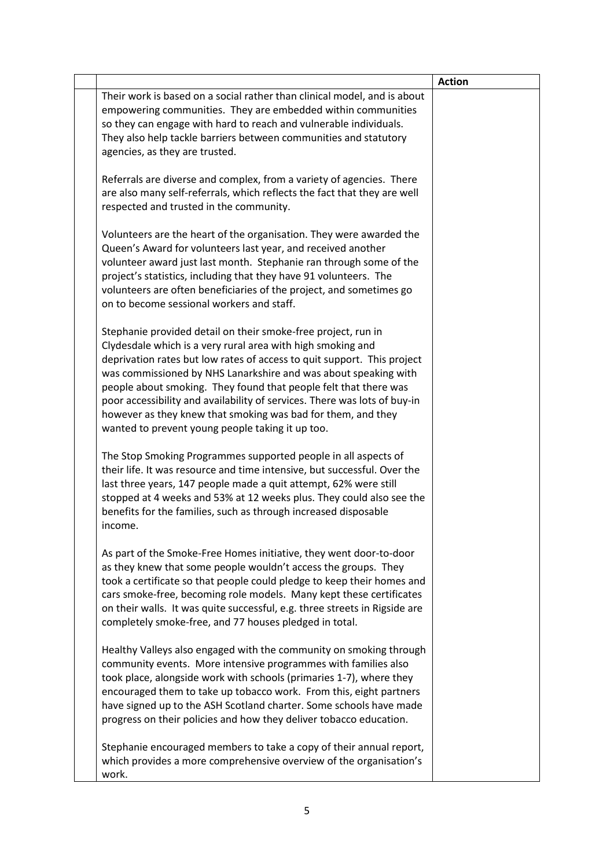|                                                                                                                                                                                                                                                                                                                                                                                                                                                                                                                                                 | <b>Action</b> |
|-------------------------------------------------------------------------------------------------------------------------------------------------------------------------------------------------------------------------------------------------------------------------------------------------------------------------------------------------------------------------------------------------------------------------------------------------------------------------------------------------------------------------------------------------|---------------|
| Their work is based on a social rather than clinical model, and is about<br>empowering communities. They are embedded within communities<br>so they can engage with hard to reach and vulnerable individuals.<br>They also help tackle barriers between communities and statutory<br>agencies, as they are trusted.                                                                                                                                                                                                                             |               |
| Referrals are diverse and complex, from a variety of agencies. There<br>are also many self-referrals, which reflects the fact that they are well<br>respected and trusted in the community.                                                                                                                                                                                                                                                                                                                                                     |               |
| Volunteers are the heart of the organisation. They were awarded the<br>Queen's Award for volunteers last year, and received another<br>volunteer award just last month. Stephanie ran through some of the<br>project's statistics, including that they have 91 volunteers. The<br>volunteers are often beneficiaries of the project, and sometimes go<br>on to become sessional workers and staff.                                                                                                                                              |               |
| Stephanie provided detail on their smoke-free project, run in<br>Clydesdale which is a very rural area with high smoking and<br>deprivation rates but low rates of access to quit support. This project<br>was commissioned by NHS Lanarkshire and was about speaking with<br>people about smoking. They found that people felt that there was<br>poor accessibility and availability of services. There was lots of buy-in<br>however as they knew that smoking was bad for them, and they<br>wanted to prevent young people taking it up too. |               |
| The Stop Smoking Programmes supported people in all aspects of<br>their life. It was resource and time intensive, but successful. Over the<br>last three years, 147 people made a quit attempt, 62% were still<br>stopped at 4 weeks and 53% at 12 weeks plus. They could also see the<br>benefits for the families, such as through increased disposable<br>income.                                                                                                                                                                            |               |
| As part of the Smoke-Free Homes initiative, they went door-to-door<br>as they knew that some people wouldn't access the groups. They<br>took a certificate so that people could pledge to keep their homes and<br>cars smoke-free, becoming role models. Many kept these certificates<br>on their walls. It was quite successful, e.g. three streets in Rigside are<br>completely smoke-free, and 77 houses pledged in total.                                                                                                                   |               |
| Healthy Valleys also engaged with the community on smoking through<br>community events. More intensive programmes with families also<br>took place, alongside work with schools (primaries 1-7), where they<br>encouraged them to take up tobacco work. From this, eight partners<br>have signed up to the ASH Scotland charter. Some schools have made<br>progress on their policies and how they deliver tobacco education.                                                                                                                   |               |
| Stephanie encouraged members to take a copy of their annual report,<br>which provides a more comprehensive overview of the organisation's<br>work.                                                                                                                                                                                                                                                                                                                                                                                              |               |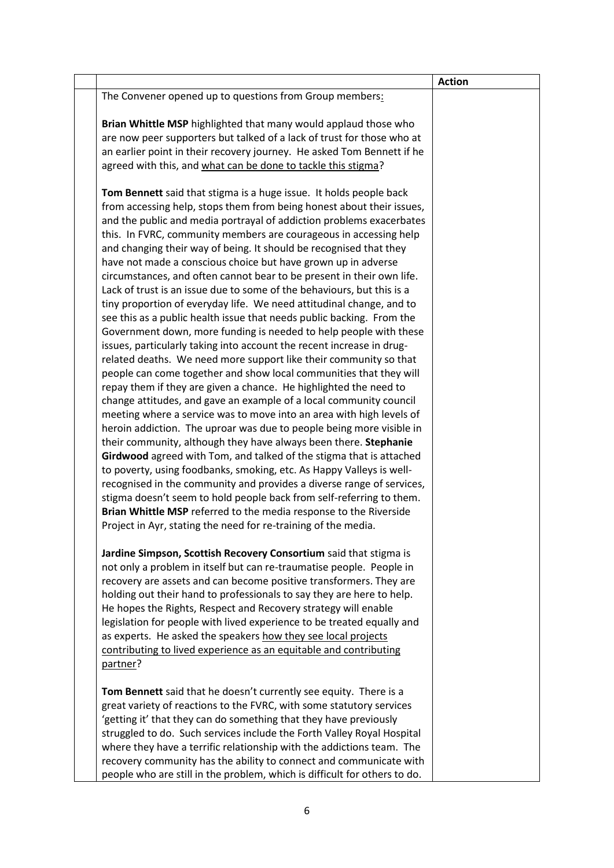|  |                                                                                                                                                                                                                                                                                                                                                                                                                                                                                                                                                                                                                                                                                                                                                                                                                                                                                                                                                                                                                                                                                                                                                                                                                                                                                                                                                                                                                                                                                                                                                                                                                                                                                                                                                                                                                                    | <b>Action</b> |
|--|------------------------------------------------------------------------------------------------------------------------------------------------------------------------------------------------------------------------------------------------------------------------------------------------------------------------------------------------------------------------------------------------------------------------------------------------------------------------------------------------------------------------------------------------------------------------------------------------------------------------------------------------------------------------------------------------------------------------------------------------------------------------------------------------------------------------------------------------------------------------------------------------------------------------------------------------------------------------------------------------------------------------------------------------------------------------------------------------------------------------------------------------------------------------------------------------------------------------------------------------------------------------------------------------------------------------------------------------------------------------------------------------------------------------------------------------------------------------------------------------------------------------------------------------------------------------------------------------------------------------------------------------------------------------------------------------------------------------------------------------------------------------------------------------------------------------------------|---------------|
|  | The Convener opened up to questions from Group members:                                                                                                                                                                                                                                                                                                                                                                                                                                                                                                                                                                                                                                                                                                                                                                                                                                                                                                                                                                                                                                                                                                                                                                                                                                                                                                                                                                                                                                                                                                                                                                                                                                                                                                                                                                            |               |
|  | Brian Whittle MSP highlighted that many would applaud those who<br>are now peer supporters but talked of a lack of trust for those who at<br>an earlier point in their recovery journey. He asked Tom Bennett if he<br>agreed with this, and what can be done to tackle this stigma?                                                                                                                                                                                                                                                                                                                                                                                                                                                                                                                                                                                                                                                                                                                                                                                                                                                                                                                                                                                                                                                                                                                                                                                                                                                                                                                                                                                                                                                                                                                                               |               |
|  | Tom Bennett said that stigma is a huge issue. It holds people back<br>from accessing help, stops them from being honest about their issues,<br>and the public and media portrayal of addiction problems exacerbates<br>this. In FVRC, community members are courageous in accessing help<br>and changing their way of being. It should be recognised that they<br>have not made a conscious choice but have grown up in adverse<br>circumstances, and often cannot bear to be present in their own life.<br>Lack of trust is an issue due to some of the behaviours, but this is a<br>tiny proportion of everyday life. We need attitudinal change, and to<br>see this as a public health issue that needs public backing. From the<br>Government down, more funding is needed to help people with these<br>issues, particularly taking into account the recent increase in drug-<br>related deaths. We need more support like their community so that<br>people can come together and show local communities that they will<br>repay them if they are given a chance. He highlighted the need to<br>change attitudes, and gave an example of a local community council<br>meeting where a service was to move into an area with high levels of<br>heroin addiction. The uproar was due to people being more visible in<br>their community, although they have always been there. Stephanie<br>Girdwood agreed with Tom, and talked of the stigma that is attached<br>to poverty, using foodbanks, smoking, etc. As Happy Valleys is well-<br>recognised in the community and provides a diverse range of services,<br>stigma doesn't seem to hold people back from self-referring to them.<br>Brian Whittle MSP referred to the media response to the Riverside<br>Project in Ayr, stating the need for re-training of the media. |               |
|  | Jardine Simpson, Scottish Recovery Consortium said that stigma is<br>not only a problem in itself but can re-traumatise people. People in<br>recovery are assets and can become positive transformers. They are<br>holding out their hand to professionals to say they are here to help.<br>He hopes the Rights, Respect and Recovery strategy will enable<br>legislation for people with lived experience to be treated equally and<br>as experts. He asked the speakers how they see local projects<br>contributing to lived experience as an equitable and contributing<br>partner?                                                                                                                                                                                                                                                                                                                                                                                                                                                                                                                                                                                                                                                                                                                                                                                                                                                                                                                                                                                                                                                                                                                                                                                                                                             |               |
|  | Tom Bennett said that he doesn't currently see equity. There is a<br>great variety of reactions to the FVRC, with some statutory services<br>'getting it' that they can do something that they have previously<br>struggled to do. Such services include the Forth Valley Royal Hospital<br>where they have a terrific relationship with the addictions team. The<br>recovery community has the ability to connect and communicate with<br>people who are still in the problem, which is difficult for others to do.                                                                                                                                                                                                                                                                                                                                                                                                                                                                                                                                                                                                                                                                                                                                                                                                                                                                                                                                                                                                                                                                                                                                                                                                                                                                                                               |               |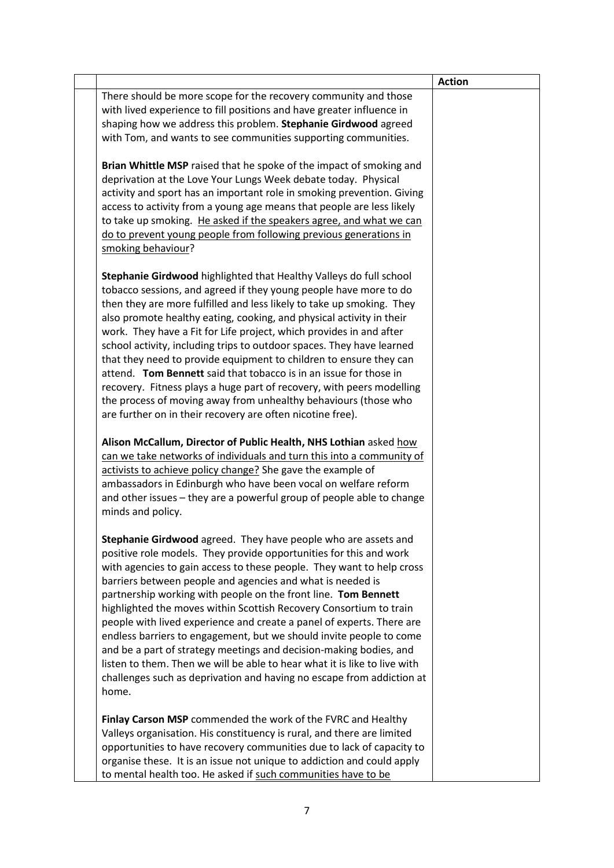|                                                                                                                                                                                                                                                                                                                                                                                                                                                                                                                                                                                                                                                                                                                                                                                                          | <b>Action</b> |
|----------------------------------------------------------------------------------------------------------------------------------------------------------------------------------------------------------------------------------------------------------------------------------------------------------------------------------------------------------------------------------------------------------------------------------------------------------------------------------------------------------------------------------------------------------------------------------------------------------------------------------------------------------------------------------------------------------------------------------------------------------------------------------------------------------|---------------|
| There should be more scope for the recovery community and those<br>with lived experience to fill positions and have greater influence in<br>shaping how we address this problem. Stephanie Girdwood agreed                                                                                                                                                                                                                                                                                                                                                                                                                                                                                                                                                                                               |               |
| with Tom, and wants to see communities supporting communities.                                                                                                                                                                                                                                                                                                                                                                                                                                                                                                                                                                                                                                                                                                                                           |               |
| Brian Whittle MSP raised that he spoke of the impact of smoking and<br>deprivation at the Love Your Lungs Week debate today. Physical<br>activity and sport has an important role in smoking prevention. Giving<br>access to activity from a young age means that people are less likely<br>to take up smoking. He asked if the speakers agree, and what we can<br>do to prevent young people from following previous generations in<br>smoking behaviour?                                                                                                                                                                                                                                                                                                                                               |               |
| Stephanie Girdwood highlighted that Healthy Valleys do full school<br>tobacco sessions, and agreed if they young people have more to do<br>then they are more fulfilled and less likely to take up smoking. They<br>also promote healthy eating, cooking, and physical activity in their<br>work. They have a Fit for Life project, which provides in and after<br>school activity, including trips to outdoor spaces. They have learned<br>that they need to provide equipment to children to ensure they can<br>attend. Tom Bennett said that tobacco is in an issue for those in<br>recovery. Fitness plays a huge part of recovery, with peers modelling<br>the process of moving away from unhealthy behaviours (those who<br>are further on in their recovery are often nicotine free).            |               |
| Alison McCallum, Director of Public Health, NHS Lothian asked how<br>can we take networks of individuals and turn this into a community of<br>activists to achieve policy change? She gave the example of<br>ambassadors in Edinburgh who have been vocal on welfare reform<br>and other issues – they are a powerful group of people able to change<br>minds and policy.                                                                                                                                                                                                                                                                                                                                                                                                                                |               |
| Stephanie Girdwood agreed. They have people who are assets and<br>positive role models. They provide opportunities for this and work<br>with agencies to gain access to these people. They want to help cross<br>barriers between people and agencies and what is needed is<br>partnership working with people on the front line. Tom Bennett<br>highlighted the moves within Scottish Recovery Consortium to train<br>people with lived experience and create a panel of experts. There are<br>endless barriers to engagement, but we should invite people to come<br>and be a part of strategy meetings and decision-making bodies, and<br>listen to them. Then we will be able to hear what it is like to live with<br>challenges such as deprivation and having no escape from addiction at<br>home. |               |
| Finlay Carson MSP commended the work of the FVRC and Healthy<br>Valleys organisation. His constituency is rural, and there are limited<br>opportunities to have recovery communities due to lack of capacity to<br>organise these. It is an issue not unique to addiction and could apply<br>to mental health too. He asked if such communities have to be                                                                                                                                                                                                                                                                                                                                                                                                                                               |               |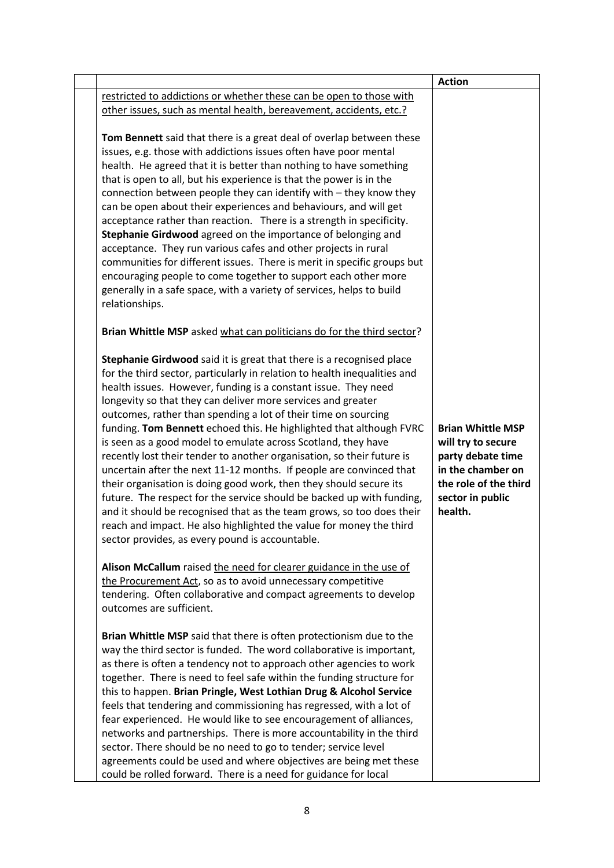|                                                                                                                                                                                                                                                                                                                                                                                                                                                                                                                                                                                                                                                                                                                                                                                                                                                                                                                                                                                                  | <b>Action</b>                                                                                                                                                                                                                                                                                                                                                                                                               |
|--------------------------------------------------------------------------------------------------------------------------------------------------------------------------------------------------------------------------------------------------------------------------------------------------------------------------------------------------------------------------------------------------------------------------------------------------------------------------------------------------------------------------------------------------------------------------------------------------------------------------------------------------------------------------------------------------------------------------------------------------------------------------------------------------------------------------------------------------------------------------------------------------------------------------------------------------------------------------------------------------|-----------------------------------------------------------------------------------------------------------------------------------------------------------------------------------------------------------------------------------------------------------------------------------------------------------------------------------------------------------------------------------------------------------------------------|
|                                                                                                                                                                                                                                                                                                                                                                                                                                                                                                                                                                                                                                                                                                                                                                                                                                                                                                                                                                                                  |                                                                                                                                                                                                                                                                                                                                                                                                                             |
|                                                                                                                                                                                                                                                                                                                                                                                                                                                                                                                                                                                                                                                                                                                                                                                                                                                                                                                                                                                                  |                                                                                                                                                                                                                                                                                                                                                                                                                             |
| Tom Bennett said that there is a great deal of overlap between these<br>issues, e.g. those with addictions issues often have poor mental<br>health. He agreed that it is better than nothing to have something<br>that is open to all, but his experience is that the power is in the<br>connection between people they can identify with - they know they<br>can be open about their experiences and behaviours, and will get<br>acceptance rather than reaction. There is a strength in specificity.<br>Stephanie Girdwood agreed on the importance of belonging and<br>acceptance. They run various cafes and other projects in rural<br>communities for different issues. There is merit in specific groups but<br>encouraging people to come together to support each other more<br>generally in a safe space, with a variety of services, helps to build<br>relationships.                                                                                                                 |                                                                                                                                                                                                                                                                                                                                                                                                                             |
|                                                                                                                                                                                                                                                                                                                                                                                                                                                                                                                                                                                                                                                                                                                                                                                                                                                                                                                                                                                                  |                                                                                                                                                                                                                                                                                                                                                                                                                             |
| Stephanie Girdwood said it is great that there is a recognised place<br>for the third sector, particularly in relation to health inequalities and<br>health issues. However, funding is a constant issue. They need<br>longevity so that they can deliver more services and greater<br>outcomes, rather than spending a lot of their time on sourcing<br>funding. Tom Bennett echoed this. He highlighted that although FVRC<br>is seen as a good model to emulate across Scotland, they have<br>recently lost their tender to another organisation, so their future is<br>uncertain after the next 11-12 months. If people are convinced that<br>their organisation is doing good work, then they should secure its<br>future. The respect for the service should be backed up with funding,<br>and it should be recognised that as the team grows, so too does their<br>reach and impact. He also highlighted the value for money the third<br>sector provides, as every pound is accountable. | <b>Brian Whittle MSP</b><br>will try to secure<br>party debate time<br>in the chamber on<br>the role of the third<br>sector in public<br>health.                                                                                                                                                                                                                                                                            |
|                                                                                                                                                                                                                                                                                                                                                                                                                                                                                                                                                                                                                                                                                                                                                                                                                                                                                                                                                                                                  |                                                                                                                                                                                                                                                                                                                                                                                                                             |
|                                                                                                                                                                                                                                                                                                                                                                                                                                                                                                                                                                                                                                                                                                                                                                                                                                                                                                                                                                                                  |                                                                                                                                                                                                                                                                                                                                                                                                                             |
|                                                                                                                                                                                                                                                                                                                                                                                                                                                                                                                                                                                                                                                                                                                                                                                                                                                                                                                                                                                                  |                                                                                                                                                                                                                                                                                                                                                                                                                             |
| outcomes are sufficient.                                                                                                                                                                                                                                                                                                                                                                                                                                                                                                                                                                                                                                                                                                                                                                                                                                                                                                                                                                         |                                                                                                                                                                                                                                                                                                                                                                                                                             |
| Brian Whittle MSP said that there is often protectionism due to the<br>way the third sector is funded. The word collaborative is important,<br>as there is often a tendency not to approach other agencies to work<br>together. There is need to feel safe within the funding structure for<br>this to happen. Brian Pringle, West Lothian Drug & Alcohol Service<br>feels that tendering and commissioning has regressed, with a lot of<br>fear experienced. He would like to see encouragement of alliances,<br>networks and partnerships. There is more accountability in the third<br>sector. There should be no need to go to tender; service level<br>agreements could be used and where objectives are being met these                                                                                                                                                                                                                                                                    |                                                                                                                                                                                                                                                                                                                                                                                                                             |
|                                                                                                                                                                                                                                                                                                                                                                                                                                                                                                                                                                                                                                                                                                                                                                                                                                                                                                                                                                                                  | restricted to addictions or whether these can be open to those with<br>other issues, such as mental health, bereavement, accidents, etc.?<br>Brian Whittle MSP asked what can politicians do for the third sector?<br>Alison McCallum raised the need for clearer guidance in the use of<br>the Procurement Act, so as to avoid unnecessary competitive<br>tendering. Often collaborative and compact agreements to develop |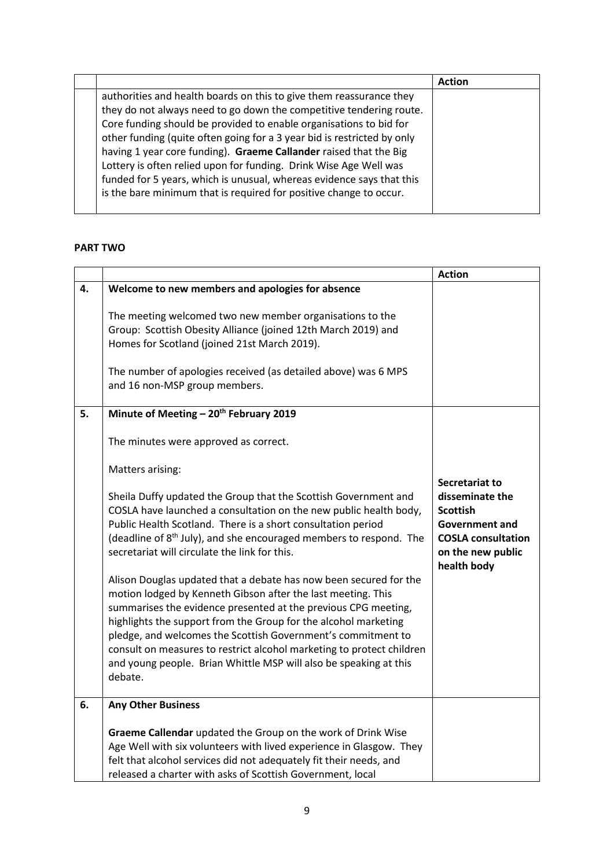|                                                                         | <b>Action</b> |
|-------------------------------------------------------------------------|---------------|
| authorities and health boards on this to give them reassurance they     |               |
| they do not always need to go down the competitive tendering route.     |               |
| Core funding should be provided to enable organisations to bid for      |               |
| other funding (quite often going for a 3 year bid is restricted by only |               |
| having 1 year core funding). Graeme Callander raised that the Big       |               |
| Lottery is often relied upon for funding. Drink Wise Age Well was       |               |
| funded for 5 years, which is unusual, whereas evidence says that this   |               |
| is the bare minimum that is required for positive change to occur.      |               |
|                                                                         |               |

# **PART TWO**

|    |                                                                                                                                                                                                                                                                                                                                                                                                                                                                                                                                                                                                                                                                                                                                                                                                                                            | <b>Action</b>                                                                                                                                  |
|----|--------------------------------------------------------------------------------------------------------------------------------------------------------------------------------------------------------------------------------------------------------------------------------------------------------------------------------------------------------------------------------------------------------------------------------------------------------------------------------------------------------------------------------------------------------------------------------------------------------------------------------------------------------------------------------------------------------------------------------------------------------------------------------------------------------------------------------------------|------------------------------------------------------------------------------------------------------------------------------------------------|
| 4. | Welcome to new members and apologies for absence                                                                                                                                                                                                                                                                                                                                                                                                                                                                                                                                                                                                                                                                                                                                                                                           |                                                                                                                                                |
|    | The meeting welcomed two new member organisations to the<br>Group: Scottish Obesity Alliance (joined 12th March 2019) and<br>Homes for Scotland (joined 21st March 2019).<br>The number of apologies received (as detailed above) was 6 MPS<br>and 16 non-MSP group members.                                                                                                                                                                                                                                                                                                                                                                                                                                                                                                                                                               |                                                                                                                                                |
| 5. | Minute of Meeting - 20 <sup>th</sup> February 2019                                                                                                                                                                                                                                                                                                                                                                                                                                                                                                                                                                                                                                                                                                                                                                                         |                                                                                                                                                |
|    | The minutes were approved as correct.                                                                                                                                                                                                                                                                                                                                                                                                                                                                                                                                                                                                                                                                                                                                                                                                      |                                                                                                                                                |
|    | Matters arising:                                                                                                                                                                                                                                                                                                                                                                                                                                                                                                                                                                                                                                                                                                                                                                                                                           |                                                                                                                                                |
|    | Sheila Duffy updated the Group that the Scottish Government and<br>COSLA have launched a consultation on the new public health body,<br>Public Health Scotland. There is a short consultation period<br>(deadline of 8 <sup>th</sup> July), and she encouraged members to respond. The<br>secretariat will circulate the link for this.<br>Alison Douglas updated that a debate has now been secured for the<br>motion lodged by Kenneth Gibson after the last meeting. This<br>summarises the evidence presented at the previous CPG meeting,<br>highlights the support from the Group for the alcohol marketing<br>pledge, and welcomes the Scottish Government's commitment to<br>consult on measures to restrict alcohol marketing to protect children<br>and young people. Brian Whittle MSP will also be speaking at this<br>debate. | Secretariat to<br>disseminate the<br><b>Scottish</b><br><b>Government and</b><br><b>COSLA consultation</b><br>on the new public<br>health body |
| 6. | <b>Any Other Business</b>                                                                                                                                                                                                                                                                                                                                                                                                                                                                                                                                                                                                                                                                                                                                                                                                                  |                                                                                                                                                |
|    | Graeme Callendar updated the Group on the work of Drink Wise<br>Age Well with six volunteers with lived experience in Glasgow. They<br>felt that alcohol services did not adequately fit their needs, and<br>released a charter with asks of Scottish Government, local                                                                                                                                                                                                                                                                                                                                                                                                                                                                                                                                                                    |                                                                                                                                                |